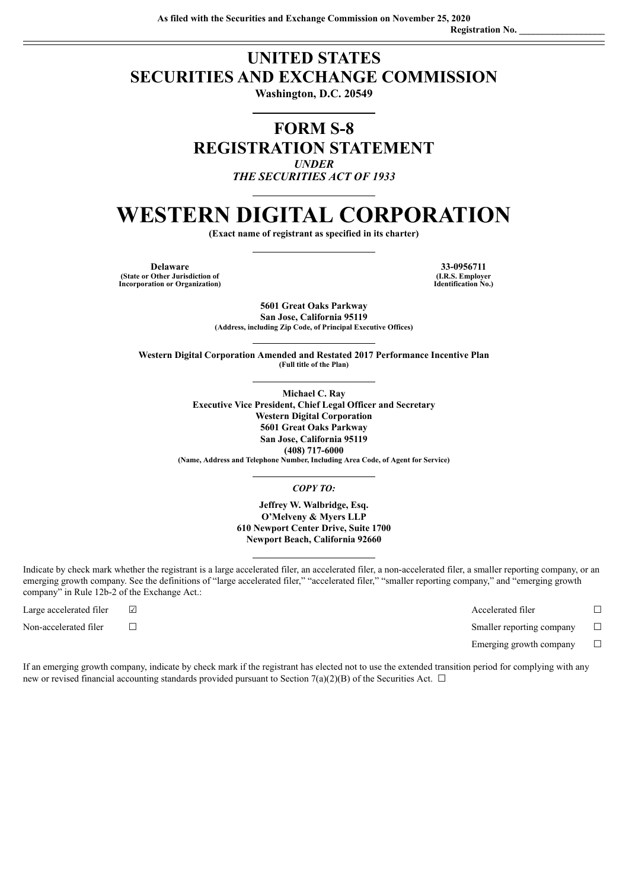## **UNITED STATES SECURITIES AND EXCHANGE COMMISSION**

**Washington, D.C. 20549**

## **FORM S-8 REGISTRATION STATEMENT** *UNDER THE SECURITIES ACT OF 1933*

# **WESTERN DIGITAL CORPORATION**

**(Exact name of registrant as specified in its charter)**

**Delaware 33-0956711 (State or Other Jurisdiction of Incorporation or Organization)**

**(I.R.S. Employer Identification No.)**

**5601 Great Oaks Parkway San Jose, California 95119 (Address, including Zip Code, of Principal Executive Offices)**

**Western Digital Corporation Amended and Restated 2017 Performance Incentive Plan (Full title of the Plan)**

> **Michael C. Ray Executive Vice President, Chief Legal Officer and Secretary Western Digital Corporation 5601 Great Oaks Parkway San Jose, California 95119 (408) 717-6000 (Name, Address and Telephone Number, Including Area Code, of Agent for Service)**

## *COPY TO:*

**Jeffrey W. Walbridge, Esq. O'Melveny & Myers LLP 610 Newport Center Drive, Suite 1700 Newport Beach, California 92660**

Indicate by check mark whether the registrant is a large accelerated filer, an accelerated filer, a non-accelerated filer, a smaller reporting company, or an emerging growth company. See the definitions of "large accelerated filer," "accelerated filer," "smaller reporting company," and "emerging growth company" in Rule 12b-2 of the Exchange Act.:

Large accelerated filer ☑ Accelerated filer ☐ Non-accelerated filer ☐ Smaller reporting company ☐

Emerging growth company  $\Box$ 

If an emerging growth company, indicate by check mark if the registrant has elected not to use the extended transition period for complying with any new or revised financial accounting standards provided pursuant to Section 7(a)(2)(B) of the Securities Act.  $\Box$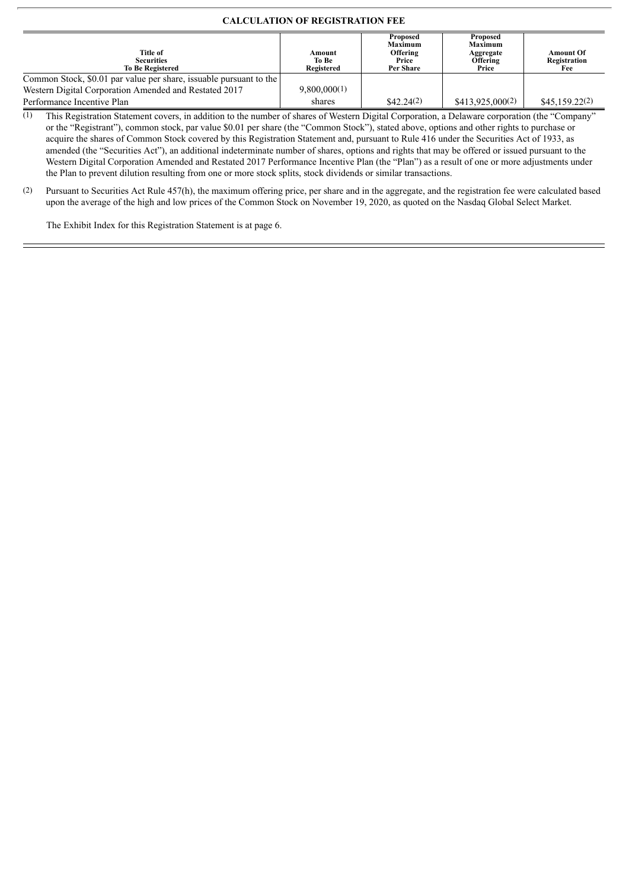## **CALCULATION OF REGISTRATION FEE**

| Title of<br><b>Securities</b><br><b>To Be Registered</b>           | Amount<br>To Be<br><b>Registered</b> | Proposed<br><b>Maximum</b><br>Offering<br>Price<br>Per Share | Proposed<br><b>Maximum</b><br>Aggregate<br>Offering<br>Price | <b>Amount Of</b><br>Registration<br>Fee |
|--------------------------------------------------------------------|--------------------------------------|--------------------------------------------------------------|--------------------------------------------------------------|-----------------------------------------|
| Common Stock, \$0.01 par value per share, issuable pursuant to the |                                      |                                                              |                                                              |                                         |
| Western Digital Corporation Amended and Restated 2017              | 9,800,000(1)                         |                                                              |                                                              |                                         |
| Performance Incentive Plan                                         | shares                               | \$42.24(2)                                                   | \$413.925.000(2)                                             | \$45,159.22(2)                          |

(1) This Registration Statement covers, in addition to the number of shares of Western Digital Corporation, a Delaware corporation (the "Company" or the "Registrant"), common stock, par value \$0.01 per share (the "Common Stock"), stated above, options and other rights to purchase or acquire the shares of Common Stock covered by this Registration Statement and, pursuant to Rule 416 under the Securities Act of 1933, as amended (the "Securities Act"), an additional indeterminate number of shares, options and rights that may be offered or issued pursuant to the Western Digital Corporation Amended and Restated 2017 Performance Incentive Plan (the "Plan") as a result of one or more adjustments under the Plan to prevent dilution resulting from one or more stock splits, stock dividends or similar transactions.

(2) Pursuant to Securities Act Rule 457(h), the maximum offering price, per share and in the aggregate, and the registration fee were calculated based upon the average of the high and low prices of the Common Stock on November 19, 2020, as quoted on the Nasdaq Global Select Market.

The Exhibit Index for this Registration Statement is at page 6.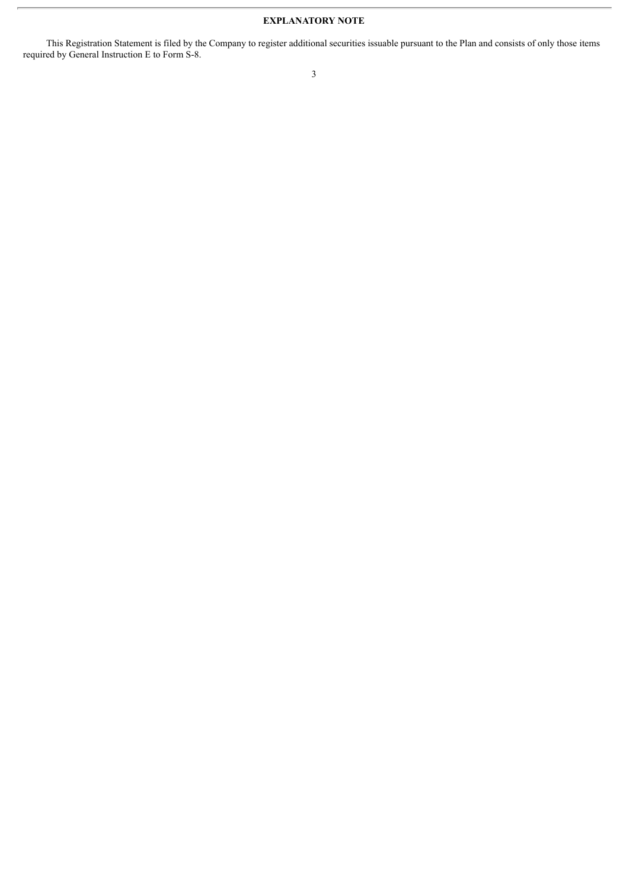## **EXPLANATORY NOTE**

This Registration Statement is filed by the Company to register additional securities issuable pursuant to the Plan and consists of only those items required by General Instruction E to Form S-8.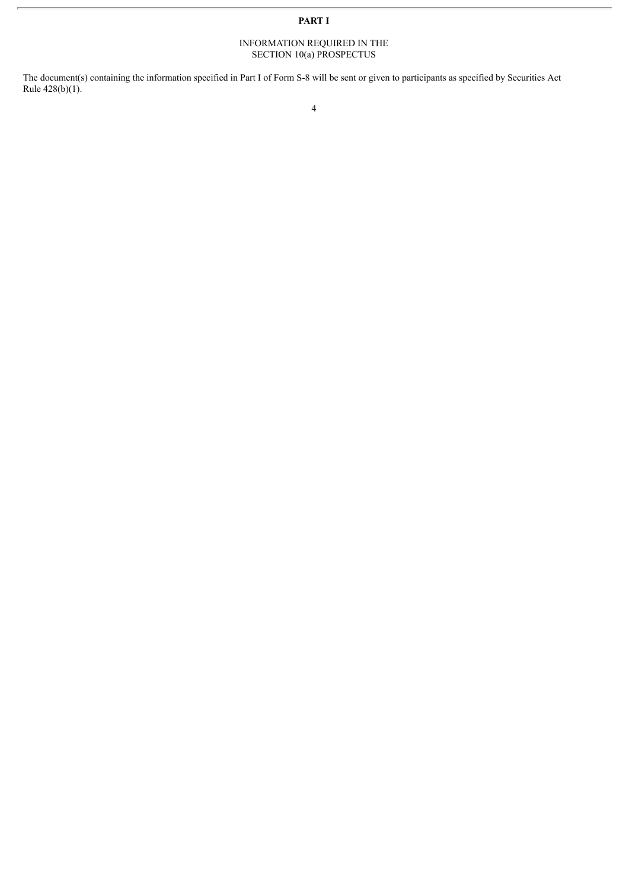## **PART I**

#### INFORMATION REQUIRED IN THE SECTION 10(a) PROSPECTUS

The document(s) containing the information specified in Part I of Form S-8 will be sent or given to participants as specified by Securities Act Rule 428(b)(1).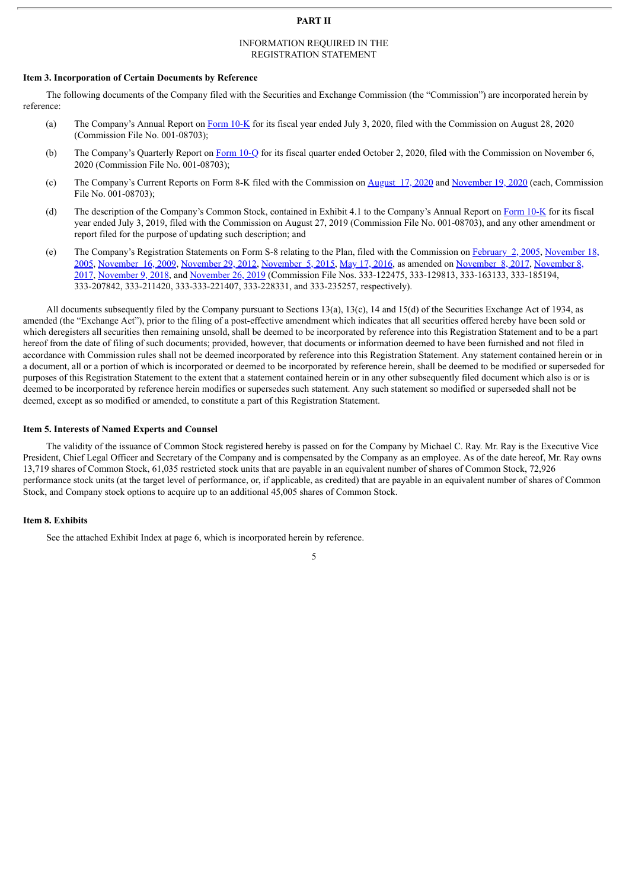#### **PART II**

#### INFORMATION REQUIRED IN THE REGISTRATION STATEMENT

#### **Item 3. Incorporation of Certain Documents by Reference**

The following documents of the Company filed with the Securities and Exchange Commission (the "Commission") are incorporated herein by reference:

- (a) The Company's Annual Report on [Form](http://www.sec.gov/ix?doc=/Archives/edgar/data/106040/000010604020000049/wdc-20200703.htm) 10-K for its fiscal year ended July 3, 2020, filed with the Commission on August 28, 2020 (Commission File No. 001-08703);
- (b) The Company's Quarterly Report on [Form](http://www.sec.gov/ix?doc=/Archives/edgar/data/106040/000010604020000061/wdc-20201002.htm) 10-Q for its fiscal quarter ended October 2, 2020, filed with the Commission on November 6, 2020 (Commission File No. 001-08703);
- (c) The Company's Current Reports on Form 8-K filed with the Commission on [August](http://www.sec.gov/ix?doc=/Archives/edgar/data/106040/000119312520222434/d907962d8k.htm) 17, 2020 and [November](http://www.sec.gov/ix?doc=/Archives/edgar/data/106040/000119312520298121/d202854d8k.htm) 19, 2020 (each, Commission File No. 001-08703);
- (d) The description of the Company's Common Stock, contained in Exhibit 4.1 to the Company's Annual Report on [Form](http://www.sec.gov/ix?doc=/Archives/edgar/data/106040/000010604019000058/wdc-2019q410xkdoc.htm) 10-K for its fiscal year ended July 3, 2019, filed with the Commission on August 27, 2019 (Commission File No. 001-08703), and any other amendment or report filed for the purpose of updating such description; and
- (e) The Company's Registration Statements on Form S-8 relating to the Plan, filed with the [Commission](http://www.sec.gov/Archives/edgar/data/106040/000089256905001062/a14658sv8.htm) on [February](http://www.sec.gov/Archives/edgar/data/106040/000095013705001071/a05108orsv8.htm) 2, 2005, November 18, 2005, [November](http://www.sec.gov/Archives/edgar/data/106040/000095012309063049/a54345sv8.htm) 16, 2009, [November](http://www.sec.gov/Archives/edgar/data/106040/000119312512485905/d445098ds8.htm) 29, 2012, [November](http://www.sec.gov/Archives/edgar/data/106040/000119312515368501/d53714ds8.htm) 5, 2015, May 17, [2016](http://www.sec.gov/Archives/edgar/data/106040/000119312516593317/d194750ds8.htm), as amended on [November](http://www.sec.gov/Archives/edgar/data/106040/000119312517336046/d430399ds8.htm) 8, 2017, November 8, 2017, [November](http://www.sec.gov/Archives/edgar/data/106040/000119312519300083/d836304ds8.htm) 9, 2018, and November 26, 2019 [\(Commission](http://www.sec.gov/Archives/edgar/data/106040/000119312517336048/d472044ds8pos.htm) File Nos. 333-122475, 333-129813, 333-163133, 333-185194, 333-207842, 333-211420, 333-333-221407, 333-228331, and 333-235257, respectively).

All documents subsequently filed by the Company pursuant to Sections 13(a), 13(c), 14 and 15(d) of the Securities Exchange Act of 1934, as amended (the "Exchange Act"), prior to the filing of a post-effective amendment which indicates that all securities offered hereby have been sold or which deregisters all securities then remaining unsold, shall be deemed to be incorporated by reference into this Registration Statement and to be a part hereof from the date of filing of such documents; provided, however, that documents or information deemed to have been furnished and not filed in accordance with Commission rules shall not be deemed incorporated by reference into this Registration Statement. Any statement contained herein or in a document, all or a portion of which is incorporated or deemed to be incorporated by reference herein, shall be deemed to be modified or superseded for purposes of this Registration Statement to the extent that a statement contained herein or in any other subsequently filed document which also is or is deemed to be incorporated by reference herein modifies or supersedes such statement. Any such statement so modified or superseded shall not be deemed, except as so modified or amended, to constitute a part of this Registration Statement.

#### **Item 5. Interests of Named Experts and Counsel**

The validity of the issuance of Common Stock registered hereby is passed on for the Company by Michael C. Ray. Mr. Ray is the Executive Vice President, Chief Legal Officer and Secretary of the Company and is compensated by the Company as an employee. As of the date hereof, Mr. Ray owns 13,719 shares of Common Stock, 61,035 restricted stock units that are payable in an equivalent number of shares of Common Stock, 72,926 performance stock units (at the target level of performance, or, if applicable, as credited) that are payable in an equivalent number of shares of Common Stock, and Company stock options to acquire up to an additional 45,005 shares of Common Stock.

#### **Item 8. Exhibits**

See the attached Exhibit Index at page 6, which is incorporated herein by reference.

5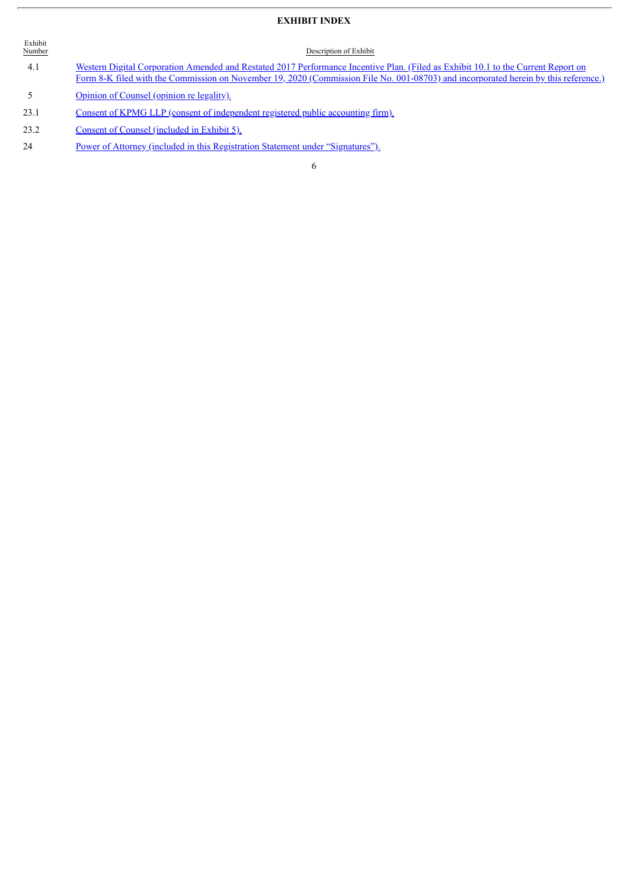## **EXHIBIT INDEX**

| Exhibit<br>Number | Description of Exhibit                                                                                                                                                                                                                                                   |
|-------------------|--------------------------------------------------------------------------------------------------------------------------------------------------------------------------------------------------------------------------------------------------------------------------|
| 4.1               | Western Digital Corporation Amended and Restated 2017 Performance Incentive Plan. (Filed as Exhibit 10.1 to the Current Report on<br>Form 8-K filed with the Commission on November 19, 2020 (Commission File No. 001-08703) and incorporated herein by this reference.) |
| -5.               | Opinion of Counsel (opinion re legality).                                                                                                                                                                                                                                |

- 23.1 Consent of KPMG LLP (consent of [independent](#page-9-0) registered public accounting firm).
- 23.2 Consent of Counsel [\(included](#page-8-0) in Exhibit 5).
- 24 Power of Attorney (included in this Registration Statement under ["Signatures"\).](#page-6-0)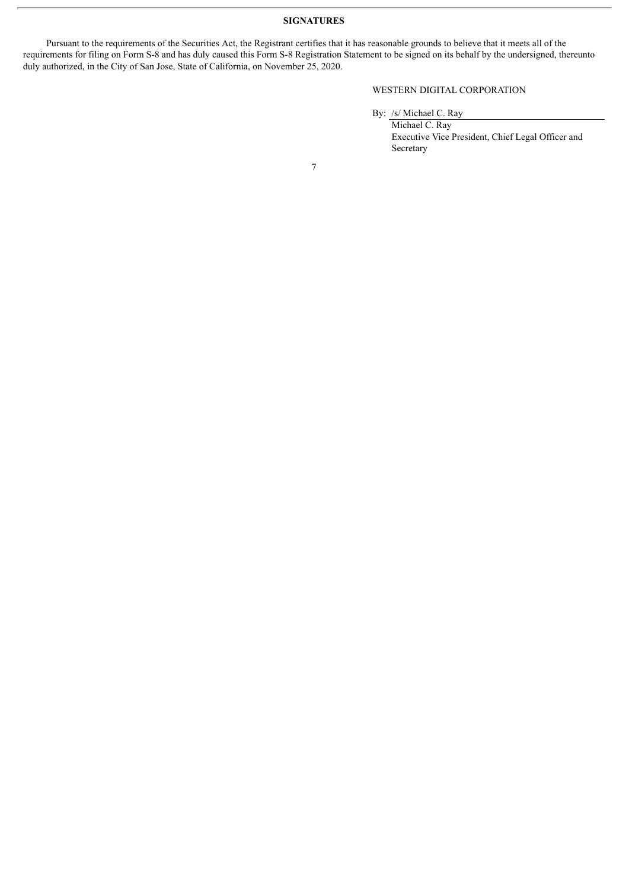### **SIGNATURES**

<span id="page-6-0"></span>Pursuant to the requirements of the Securities Act, the Registrant certifies that it has reasonable grounds to believe that it meets all of the requirements for filing on Form S-8 and has duly caused this Form S-8 Registration Statement to be signed on its behalf by the undersigned, thereunto duly authorized, in the City of San Jose, State of California, on November 25, 2020.

## WESTERN DIGITAL CORPORATION

By: /s/ Michael C. Ray

Michael C. Ray Executive Vice President, Chief Legal Officer and Secretary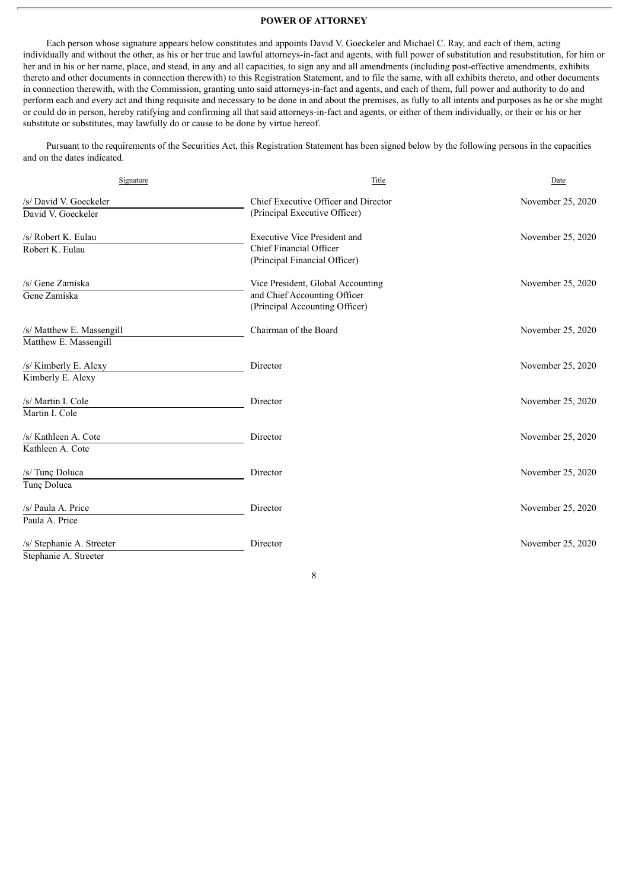#### **POWER OF ATTORNEY**

Each person whose signature appears below constitutes and appoints David V. Goeckeler and Michael C. Ray, and each of them, acting individually and without the other, as his or her true and lawful attorneys-in-fact and agents, with full power of substitution and resubstitution, for him or her and in his or her name, place, and stead, in any and all capacities, to sign any and all amendments (including post-effective amendments, exhibits thereto and other documents in connection therewith) to this Registration Statement, and to file the same, with all exhibits thereto, and other documents in connection therewith, with the Commission, granting unto said attorneys-in-fact and agents, and each of them, full power and authority to do and perform each and every act and thing requisite and necessary to be done in and about the premises, as fully to all intents and purposes as he or she might or could do in person, hereby ratifying and confirming all that said attorneys-in-fact and agents, or either of them individually, or their or his or her substitute or substitutes, may lawfully do or cause to be done by virtue hereof.

Pursuant to the requirements of the Securities Act, this Registration Statement has been signed below by the following persons in the capacities and on the dates indicated.

| Signature                 | Title                                | Date              |
|---------------------------|--------------------------------------|-------------------|
| /s/ David V. Goeckeler    | Chief Executive Officer and Director | November 25, 2020 |
| David V. Goeckeler        | (Principal Executive Officer)        |                   |
| /s/ Robert K. Eulau       | <b>Executive Vice President and</b>  | November 25, 2020 |
| Robert K. Eulau           | Chief Financial Officer              |                   |
|                           | (Principal Financial Officer)        |                   |
| /s/ Gene Zamiska          | Vice President, Global Accounting    | November 25, 2020 |
| Gene Zamiska              | and Chief Accounting Officer         |                   |
|                           | (Principal Accounting Officer)       |                   |
| /s/ Matthew E. Massengill | Chairman of the Board                | November 25, 2020 |
| Matthew E. Massengill     |                                      |                   |
| /s/ Kimberly E. Alexy     | Director                             | November 25, 2020 |
| Kimberly E. Alexy         |                                      |                   |
| /s/ Martin I. Cole        | Director                             | November 25, 2020 |
| Martin I. Cole            |                                      |                   |
| /s/ Kathleen A. Cote      | Director                             | November 25, 2020 |
| Kathleen A. Cote          |                                      |                   |
| /s/ Tunç Doluca           | Director                             | November 25, 2020 |
| Tunç Doluca               |                                      |                   |
| /s/ Paula A. Price        | Director                             | November 25, 2020 |
| Paula A. Price            |                                      |                   |
| /s/ Stephanie A. Streeter | Director                             | November 25, 2020 |
| Stephanie A. Streeter     |                                      |                   |

8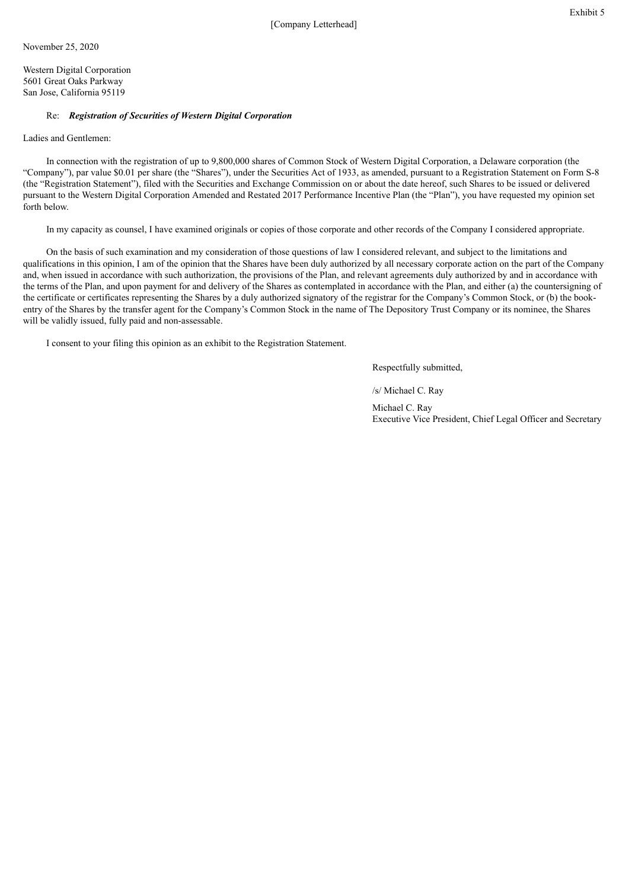<span id="page-8-0"></span>Western Digital Corporation 5601 Great Oaks Parkway San Jose, California 95119

#### Re: *Registration of Securities of Western Digital Corporation*

Ladies and Gentlemen:

In connection with the registration of up to 9,800,000 shares of Common Stock of Western Digital Corporation, a Delaware corporation (the "Company"), par value \$0.01 per share (the "Shares"), under the Securities Act of 1933, as amended, pursuant to a Registration Statement on Form S-8 (the "Registration Statement"), filed with the Securities and Exchange Commission on or about the date hereof, such Shares to be issued or delivered pursuant to the Western Digital Corporation Amended and Restated 2017 Performance Incentive Plan (the "Plan"), you have requested my opinion set forth below.

In my capacity as counsel, I have examined originals or copies of those corporate and other records of the Company I considered appropriate.

On the basis of such examination and my consideration of those questions of law I considered relevant, and subject to the limitations and qualifications in this opinion, I am of the opinion that the Shares have been duly authorized by all necessary corporate action on the part of the Company and, when issued in accordance with such authorization, the provisions of the Plan, and relevant agreements duly authorized by and in accordance with the terms of the Plan, and upon payment for and delivery of the Shares as contemplated in accordance with the Plan, and either (a) the countersigning of the certificate or certificates representing the Shares by a duly authorized signatory of the registrar for the Company's Common Stock, or (b) the bookentry of the Shares by the transfer agent for the Company's Common Stock in the name of The Depository Trust Company or its nominee, the Shares will be validly issued, fully paid and non-assessable.

I consent to your filing this opinion as an exhibit to the Registration Statement.

Respectfully submitted,

/s/ Michael C. Ray

Michael C. Ray Executive Vice President, Chief Legal Officer and Secretary